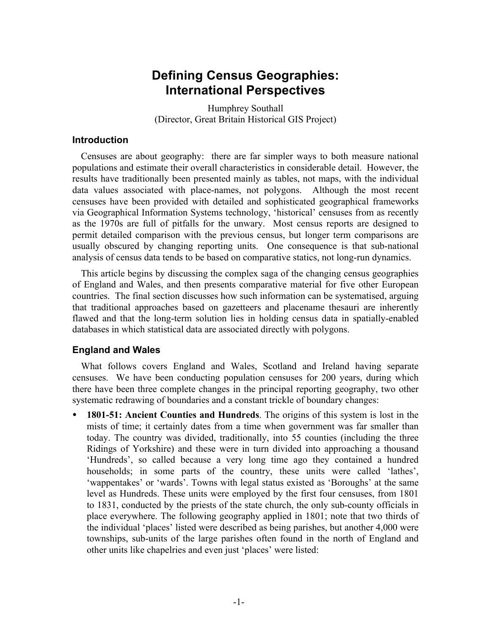# **Defining Census Geographies: International Perspectives**

Humphrey Southall (Director, Great Britain Historical GIS Project)

## **Introduction**

Censuses are about geography: there are far simpler ways to both measure national populations and estimate their overall characteristics in considerable detail. However, the results have traditionally been presented mainly as tables, not maps, with the individual data values associated with place-names, not polygons. Although the most recent censuses have been provided with detailed and sophisticated geographical frameworks via Geographical Information Systems technology, 'historical' censuses from as recently as the 1970s are full of pitfalls for the unwary. Most census reports are designed to permit detailed comparison with the previous census, but longer term comparisons are usually obscured by changing reporting units. One consequence is that sub-national analysis of census data tends to be based on comparative statics, not long-run dynamics.

This article begins by discussing the complex saga of the changing census geographies of England and Wales, and then presents comparative material for five other European countries. The final section discusses how such information can be systematised, arguing that traditional approaches based on gazetteers and placename thesauri are inherently flawed and that the long-term solution lies in holding census data in spatially-enabled databases in which statistical data are associated directly with polygons.

# **England and Wales**

What follows covers England and Wales, Scotland and Ireland having separate censuses. We have been conducting population censuses for 200 years, during which there have been three complete changes in the principal reporting geography, two other systematic redrawing of boundaries and a constant trickle of boundary changes:

• **1801-51: Ancient Counties and Hundreds**. The origins of this system is lost in the mists of time; it certainly dates from a time when government was far smaller than today. The country was divided, traditionally, into 55 counties (including the three Ridings of Yorkshire) and these were in turn divided into approaching a thousand 'Hundreds', so called because a very long time ago they contained a hundred households; in some parts of the country, these units were called 'lathes', 'wappentakes' or 'wards'. Towns with legal status existed as 'Boroughs' at the same level as Hundreds. These units were employed by the first four censuses, from 1801 to 1831, conducted by the priests of the state church, the only sub-county officials in place everywhere. The following geography applied in 1801; note that two thirds of the individual 'places' listed were described as being parishes, but another 4,000 were townships, sub-units of the large parishes often found in the north of England and other units like chapelries and even just 'places' were listed: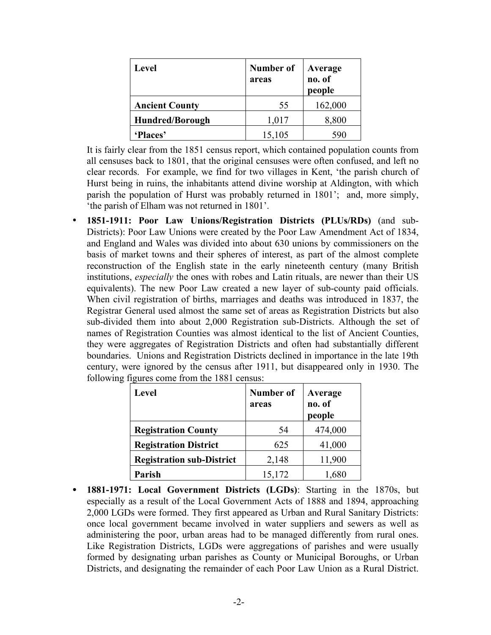| <b>Level</b>           | Number of<br>areas | Average<br>no. of<br>people |  |  |
|------------------------|--------------------|-----------------------------|--|--|
| <b>Ancient County</b>  | 55                 | 162,000                     |  |  |
| <b>Hundred/Borough</b> | 1,017              | 8,800                       |  |  |
| 'Places'               | 15,105             | 590                         |  |  |

It is fairly clear from the 1851 census report, which contained population counts from all censuses back to 1801, that the original censuses were often confused, and left no clear records. For example, we find for two villages in Kent, 'the parish church of Hurst being in ruins, the inhabitants attend divine worship at Aldington, with which parish the population of Hurst was probably returned in 1801'; and, more simply, 'the parish of Elham was not returned in 1801'.

• **1851-1911: Poor Law Unions/Registration Districts (PLUs/RDs)** (and sub-Districts): Poor Law Unions were created by the Poor Law Amendment Act of 1834, and England and Wales was divided into about 630 unions by commissioners on the basis of market towns and their spheres of interest, as part of the almost complete reconstruction of the English state in the early nineteenth century (many British institutions, *especially* the ones with robes and Latin rituals, are newer than their US equivalents). The new Poor Law created a new layer of sub-county paid officials. When civil registration of births, marriages and deaths was introduced in 1837, the Registrar General used almost the same set of areas as Registration Districts but also sub-divided them into about 2,000 Registration sub-Districts. Although the set of names of Registration Counties was almost identical to the list of Ancient Counties, they were aggregates of Registration Districts and often had substantially different boundaries. Unions and Registration Districts declined in importance in the late 19th century, were ignored by the census after 1911, but disappeared only in 1930. The following figures come from the 1881 census:

| <b>Level</b>                     | <b>Number of</b><br>areas | Average<br>no. of<br>people |  |  |
|----------------------------------|---------------------------|-----------------------------|--|--|
| <b>Registration County</b>       | 54                        | 474,000                     |  |  |
| <b>Registration District</b>     | 625                       | 41,000                      |  |  |
| <b>Registration sub-District</b> | 2,148                     | 11,900                      |  |  |
| Parish                           | 15,172                    | ,680                        |  |  |

• **1881-1971: Local Government Districts (LGDs)**: Starting in the 1870s, but especially as a result of the Local Government Acts of 1888 and 1894, approaching 2,000 LGDs were formed. They first appeared as Urban and Rural Sanitary Districts: once local government became involved in water suppliers and sewers as well as administering the poor, urban areas had to be managed differently from rural ones. Like Registration Districts, LGDs were aggregations of parishes and were usually formed by designating urban parishes as County or Municipal Boroughs, or Urban Districts, and designating the remainder of each Poor Law Union as a Rural District.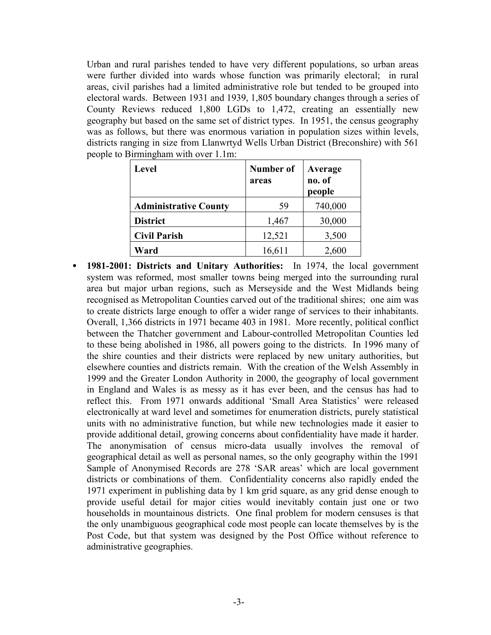Urban and rural parishes tended to have very different populations, so urban areas were further divided into wards whose function was primarily electoral; in rural areas, civil parishes had a limited administrative role but tended to be grouped into electoral wards. Between 1931 and 1939, 1,805 boundary changes through a series of County Reviews reduced 1,800 LGDs to 1,472, creating an essentially new geography but based on the same set of district types. In 1951, the census geography was as follows, but there was enormous variation in population sizes within levels, districts ranging in size from Llanwrtyd Wells Urban District (Breconshire) with 561 people to Birmingham with over 1.1m:

| Level                        | Number of<br>areas | Average<br>no. of<br>people |  |  |
|------------------------------|--------------------|-----------------------------|--|--|
| <b>Administrative County</b> | 59                 | 740,000                     |  |  |
| <b>District</b>              | 1,467              | 30,000                      |  |  |
| <b>Civil Parish</b>          | 12,521             | 3,500                       |  |  |
| Ward                         | 16,611             | 2,600                       |  |  |

• **1981-2001: Districts and Unitary Authorities:** In 1974, the local government system was reformed, most smaller towns being merged into the surrounding rural area but major urban regions, such as Merseyside and the West Midlands being recognised as Metropolitan Counties carved out of the traditional shires; one aim was to create districts large enough to offer a wider range of services to their inhabitants. Overall, 1,366 districts in 1971 became 403 in 1981. More recently, political conflict between the Thatcher government and Labour-controlled Metropolitan Counties led to these being abolished in 1986, all powers going to the districts. In 1996 many of the shire counties and their districts were replaced by new unitary authorities, but elsewhere counties and districts remain. With the creation of the Welsh Assembly in 1999 and the Greater London Authority in 2000, the geography of local government in England and Wales is as messy as it has ever been, and the census has had to reflect this. From 1971 onwards additional 'Small Area Statistics' were released electronically at ward level and sometimes for enumeration districts, purely statistical units with no administrative function, but while new technologies made it easier to provide additional detail, growing concerns about confidentiality have made it harder. The anonymisation of census micro-data usually involves the removal of geographical detail as well as personal names, so the only geography within the 1991 Sample of Anonymised Records are 278 'SAR areas' which are local government districts or combinations of them. Confidentiality concerns also rapidly ended the 1971 experiment in publishing data by 1 km grid square, as any grid dense enough to provide useful detail for major cities would inevitably contain just one or two households in mountainous districts. One final problem for modern censuses is that the only unambiguous geographical code most people can locate themselves by is the Post Code, but that system was designed by the Post Office without reference to administrative geographies.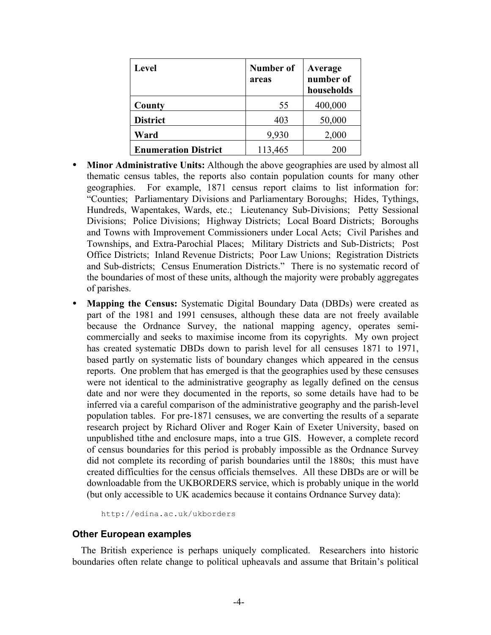| <b>Level</b>                | Number of<br>areas | Average<br>number of<br>households |
|-----------------------------|--------------------|------------------------------------|
| County                      | 55                 | 400,000                            |
| <b>District</b>             | 403                | 50,000                             |
| Ward                        | 9,930              | 2,000                              |
| <b>Enumeration District</b> | 113,465            | 200                                |

- **Minor Administrative Units:** Although the above geographies are used by almost all thematic census tables, the reports also contain population counts for many other geographies. For example, 1871 census report claims to list information for: "Counties; Parliamentary Divisions and Parliamentary Boroughs; Hides, Tythings, Hundreds, Wapentakes, Wards, etc.; Lieutenancy Sub-Divisions; Petty Sessional Divisions; Police Divisions; Highway Districts; Local Board Districts; Boroughs and Towns with Improvement Commissioners under Local Acts; Civil Parishes and Townships, and Extra-Parochial Places; Military Districts and Sub-Districts; Post Office Districts; Inland Revenue Districts; Poor Law Unions; Registration Districts and Sub-districts; Census Enumeration Districts." There is no systematic record of the boundaries of most of these units, although the majority were probably aggregates of parishes.
- **Mapping the Census:** Systematic Digital Boundary Data (DBDs) were created as part of the 1981 and 1991 censuses, although these data are not freely available because the Ordnance Survey, the national mapping agency, operates semicommercially and seeks to maximise income from its copyrights. My own project has created systematic DBDs down to parish level for all censuses 1871 to 1971, based partly on systematic lists of boundary changes which appeared in the census reports. One problem that has emerged is that the geographies used by these censuses were not identical to the administrative geography as legally defined on the census date and nor were they documented in the reports, so some details have had to be inferred via a careful comparison of the administrative geography and the parish-level population tables. For pre-1871 censuses, we are converting the results of a separate research project by Richard Oliver and Roger Kain of Exeter University, based on unpublished tithe and enclosure maps, into a true GIS. However, a complete record of census boundaries for this period is probably impossible as the Ordnance Survey did not complete its recording of parish boundaries until the 1880s; this must have created difficulties for the census officials themselves. All these DBDs are or will be downloadable from the UKBORDERS service, which is probably unique in the world (but only accessible to UK academics because it contains Ordnance Survey data):

http://edina.ac.uk/ukborders

#### **Other European examples**

The British experience is perhaps uniquely complicated. Researchers into historic boundaries often relate change to political upheavals and assume that Britain's political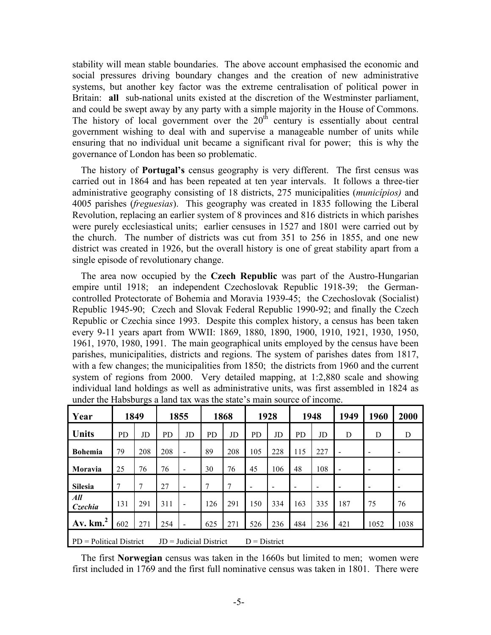stability will mean stable boundaries. The above account emphasised the economic and social pressures driving boundary changes and the creation of new administrative systems, but another key factor was the extreme centralisation of political power in Britain: **all** sub-national units existed at the discretion of the Westminster parliament, and could be swept away by any party with a simple majority in the House of Commons. The history of local government over the  $20<sup>th</sup>$  century is essentially about central government wishing to deal with and supervise a manageable number of units while ensuring that no individual unit became a significant rival for power; this is why the governance of London has been so problematic.

The history of **Portugal's** census geography is very different. The first census was carried out in 1864 and has been repeated at ten year intervals. It follows a three-tier administrative geography consisting of 18 districts, 275 municipalities (*municípios)* and 4005 parishes (*freguesias*). This geography was created in 1835 following the Liberal Revolution, replacing an earlier system of 8 provinces and 816 districts in which parishes were purely ecclesiastical units; earlier censuses in 1527 and 1801 were carried out by the church. The number of districts was cut from 351 to 256 in 1855, and one new district was created in 1926, but the overall history is one of great stability apart from a single episode of revolutionary change.

The area now occupied by the **Czech Republic** was part of the Austro-Hungarian empire until 1918; an independent Czechoslovak Republic 1918-39; the Germancontrolled Protectorate of Bohemia and Moravia 1939-45; the Czechoslovak (Socialist) Republic 1945-90; Czech and Slovak Federal Republic 1990-92; and finally the Czech Republic or Czechia since 1993. Despite this complex history, a census has been taken every 9-11 years apart from WWII: 1869, 1880, 1890, 1900, 1910, 1921, 1930, 1950, 1961, 1970, 1980, 1991. The main geographical units employed by the census have been parishes, municipalities, districts and regions. The system of parishes dates from 1817, with a few changes; the municipalities from 1850; the districts from 1960 and the current system of regions from 2000. Very detailed mapping, at 1:2,880 scale and showing individual land holdings as well as administrative units, was first assembled in 1824 as under the Habsburgs a land tax was the state's main source of income.

| Year                                                                    |           | 1849 |     | 1855                     |     | 1868 |           | 1928 | 1948      |     | 1949                     | 1960            | 2000 |
|-------------------------------------------------------------------------|-----------|------|-----|--------------------------|-----|------|-----------|------|-----------|-----|--------------------------|-----------------|------|
| <b>Units</b>                                                            | <b>PD</b> | JD   | PD  | JD                       | PD  | JD   | <b>PD</b> | JD   | <b>PD</b> | JD  | D                        | D               | D    |
| <b>Bohemia</b>                                                          | 79        | 208  | 208 |                          | 89  | 208  | 105       | 228  | 115       | 227 |                          |                 |      |
| Moravia                                                                 | 25        | 76   | 76  | $\overline{\phantom{a}}$ | 30  | 76   | 45        | 106  | 48        | 108 | $\overline{\phantom{a}}$ | $\qquad \qquad$ | -    |
| <b>Silesia</b>                                                          |           |      | 27  |                          |     | 7    |           |      |           |     |                          |                 |      |
| All<br>Czechia                                                          | 131       | 291  | 311 |                          | 126 | 291  | 150       | 334  | 163       | 335 | 187                      | 75              | 76   |
| $A$ v. km. <sup>2</sup>                                                 | 602       | 271  | 254 |                          | 625 | 271  | 526       | 236  | 484       | 236 | 421                      | 1052            | 1038 |
| $PD =$ Political District<br>$JD =$ Judicial District<br>$D = District$ |           |      |     |                          |     |      |           |      |           |     |                          |                 |      |

The first **Norwegian** census was taken in the 1660s but limited to men; women were first included in 1769 and the first full nominative census was taken in 1801. There were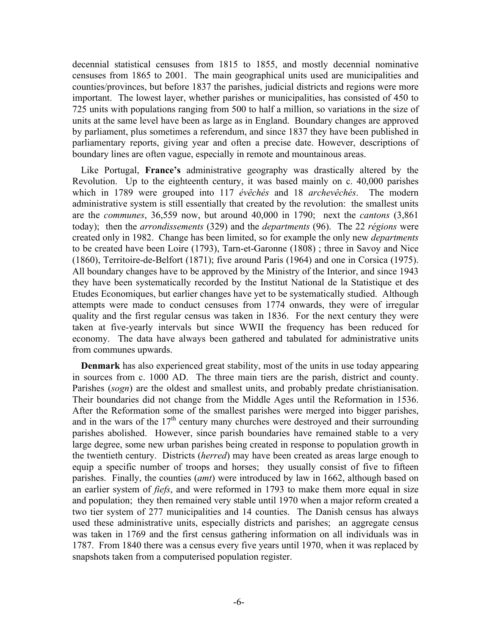decennial statistical censuses from 1815 to 1855, and mostly decennial nominative censuses from 1865 to 2001. The main geographical units used are municipalities and counties/provinces, but before 1837 the parishes, judicial districts and regions were more important. The lowest layer, whether parishes or municipalities, has consisted of 450 to 725 units with populations ranging from 500 to half a million, so variations in the size of units at the same level have been as large as in England. Boundary changes are approved by parliament, plus sometimes a referendum, and since 1837 they have been published in parliamentary reports, giving year and often a precise date. However, descriptions of boundary lines are often vague, especially in remote and mountainous areas.

Like Portugal, **France's** administrative geography was drastically altered by the Revolution. Up to the eighteenth century, it was based mainly on c. 40,000 parishes which in 1789 were grouped into 117 *évêchés* and 18 *archevêchés*. The modern administrative system is still essentially that created by the revolution: the smallest units are the *communes*, 36,559 now, but around 40,000 in 1790; next the *cantons* (3,861 today); then the *arrondissements* (329) and the *departments* (96). The 22 *régions* were created only in 1982. Change has been limited, so for example the only new *departments* to be created have been Loire (1793), Tarn-et-Garonne (1808) ; three in Savoy and Nice (1860), Territoire-de-Belfort (1871); five around Paris (1964) and one in Corsica (1975). All boundary changes have to be approved by the Ministry of the Interior, and since 1943 they have been systematically recorded by the Institut National de la Statistique et des Etudes Economiques, but earlier changes have yet to be systematically studied. Although attempts were made to conduct censuses from 1774 onwards, they were of irregular quality and the first regular census was taken in 1836. For the next century they were taken at five-yearly intervals but since WWII the frequency has been reduced for economy. The data have always been gathered and tabulated for administrative units from communes upwards.

**Denmark** has also experienced great stability, most of the units in use today appearing in sources from c. 1000 AD. The three main tiers are the parish, district and county. Parishes (*sogn*) are the oldest and smallest units, and probably predate christianisation. Their boundaries did not change from the Middle Ages until the Reformation in 1536. After the Reformation some of the smallest parishes were merged into bigger parishes, and in the wars of the  $17<sup>th</sup>$  century many churches were destroyed and their surrounding parishes abolished. However, since parish boundaries have remained stable to a very large degree, some new urban parishes being created in response to population growth in the twentieth century. Districts (*herred*) may have been created as areas large enough to equip a specific number of troops and horses; they usually consist of five to fifteen parishes. Finally, the counties (*amt*) were introduced by law in 1662, although based on an earlier system of *fiefs*, and were reformed in 1793 to make them more equal in size and population; they then remained very stable until 1970 when a major reform created a two tier system of 277 municipalities and 14 counties. The Danish census has always used these administrative units, especially districts and parishes; an aggregate census was taken in 1769 and the first census gathering information on all individuals was in 1787. From 1840 there was a census every five years until 1970, when it was replaced by snapshots taken from a computerised population register.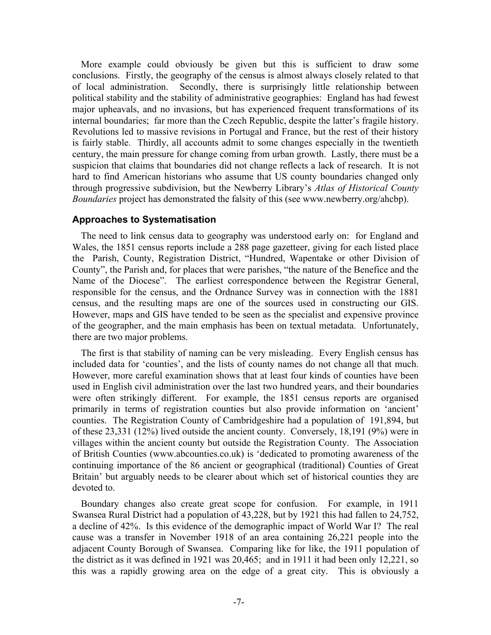More example could obviously be given but this is sufficient to draw some conclusions. Firstly, the geography of the census is almost always closely related to that of local administration. Secondly, there is surprisingly little relationship between political stability and the stability of administrative geographies: England has had fewest major upheavals, and no invasions, but has experienced frequent transformations of its internal boundaries; far more than the Czech Republic, despite the latter's fragile history. Revolutions led to massive revisions in Portugal and France, but the rest of their history is fairly stable. Thirdly, all accounts admit to some changes especially in the twentieth century, the main pressure for change coming from urban growth. Lastly, there must be a suspicion that claims that boundaries did not change reflects a lack of research. It is not hard to find American historians who assume that US county boundaries changed only through progressive subdivision, but the Newberry Library's *Atlas of Historical County Boundaries* project has demonstrated the falsity of this (see www.newberry.org/ahcbp).

## **Approaches to Systematisation**

The need to link census data to geography was understood early on: for England and Wales, the 1851 census reports include a 288 page gazetteer, giving for each listed place the Parish, County, Registration District, "Hundred, Wapentake or other Division of County", the Parish and, for places that were parishes, "the nature of the Benefice and the Name of the Diocese". The earliest correspondence between the Registrar General, responsible for the census, and the Ordnance Survey was in connection with the 1881 census, and the resulting maps are one of the sources used in constructing our GIS. However, maps and GIS have tended to be seen as the specialist and expensive province of the geographer, and the main emphasis has been on textual metadata. Unfortunately, there are two major problems.

The first is that stability of naming can be very misleading. Every English census has included data for 'counties', and the lists of county names do not change all that much. However, more careful examination shows that at least four kinds of counties have been used in English civil administration over the last two hundred years, and their boundaries were often strikingly different. For example, the 1851 census reports are organised primarily in terms of registration counties but also provide information on 'ancient' counties. The Registration County of Cambridgeshire had a population of 191,894, but of these 23,331 (12%) lived outside the ancient county. Conversely, 18,191 (9%) were in villages within the ancient county but outside the Registration County. The Association of British Counties (www.abcounties.co.uk) is 'dedicated to promoting awareness of the continuing importance of the 86 ancient or geographical (traditional) Counties of Great Britain' but arguably needs to be clearer about which set of historical counties they are devoted to.

Boundary changes also create great scope for confusion. For example, in 1911 Swansea Rural District had a population of 43,228, but by 1921 this had fallen to 24,752, a decline of 42%. Is this evidence of the demographic impact of World War I? The real cause was a transfer in November 1918 of an area containing 26,221 people into the adjacent County Borough of Swansea. Comparing like for like, the 1911 population of the district as it was defined in 1921 was 20,465; and in 1911 it had been only 12,221, so this was a rapidly growing area on the edge of a great city. This is obviously a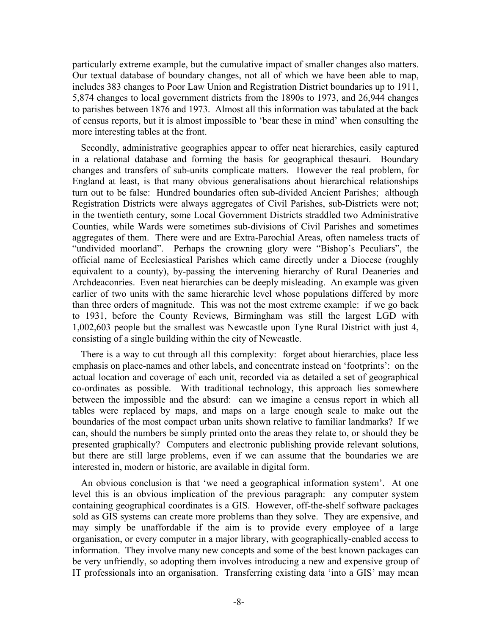particularly extreme example, but the cumulative impact of smaller changes also matters. Our textual database of boundary changes, not all of which we have been able to map, includes 383 changes to Poor Law Union and Registration District boundaries up to 1911, 5,874 changes to local government districts from the 1890s to 1973, and 26,944 changes to parishes between 1876 and 1973. Almost all this information was tabulated at the back of census reports, but it is almost impossible to 'bear these in mind' when consulting the more interesting tables at the front.

Secondly, administrative geographies appear to offer neat hierarchies, easily captured in a relational database and forming the basis for geographical thesauri. Boundary changes and transfers of sub-units complicate matters. However the real problem, for England at least, is that many obvious generalisations about hierarchical relationships turn out to be false: Hundred boundaries often sub-divided Ancient Parishes; although Registration Districts were always aggregates of Civil Parishes, sub-Districts were not; in the twentieth century, some Local Government Districts straddled two Administrative Counties, while Wards were sometimes sub-divisions of Civil Parishes and sometimes aggregates of them. There were and are Extra-Parochial Areas, often nameless tracts of "undivided moorland". Perhaps the crowning glory were "Bishop's Peculiars", the official name of Ecclesiastical Parishes which came directly under a Diocese (roughly equivalent to a county), by-passing the intervening hierarchy of Rural Deaneries and Archdeaconries. Even neat hierarchies can be deeply misleading. An example was given earlier of two units with the same hierarchic level whose populations differed by more than three orders of magnitude. This was not the most extreme example: if we go back to 1931, before the County Reviews, Birmingham was still the largest LGD with 1,002,603 people but the smallest was Newcastle upon Tyne Rural District with just 4, consisting of a single building within the city of Newcastle.

There is a way to cut through all this complexity: forget about hierarchies, place less emphasis on place-names and other labels, and concentrate instead on 'footprints': on the actual location and coverage of each unit, recorded via as detailed a set of geographical co-ordinates as possible. With traditional technology, this approach lies somewhere between the impossible and the absurd: can we imagine a census report in which all tables were replaced by maps, and maps on a large enough scale to make out the boundaries of the most compact urban units shown relative to familiar landmarks? If we can, should the numbers be simply printed onto the areas they relate to, or should they be presented graphically? Computers and electronic publishing provide relevant solutions, but there are still large problems, even if we can assume that the boundaries we are interested in, modern or historic, are available in digital form.

An obvious conclusion is that 'we need a geographical information system'. At one level this is an obvious implication of the previous paragraph: any computer system containing geographical coordinates is a GIS. However, off-the-shelf software packages sold as GIS systems can create more problems than they solve. They are expensive, and may simply be unaffordable if the aim is to provide every employee of a large organisation, or every computer in a major library, with geographically-enabled access to information. They involve many new concepts and some of the best known packages can be very unfriendly, so adopting them involves introducing a new and expensive group of IT professionals into an organisation. Transferring existing data 'into a GIS' may mean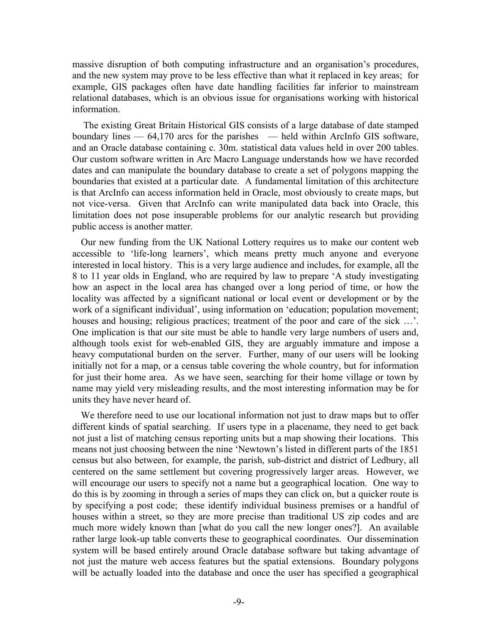massive disruption of both computing infrastructure and an organisation's procedures, and the new system may prove to be less effective than what it replaced in key areas; for example, GIS packages often have date handling facilities far inferior to mainstream relational databases, which is an obvious issue for organisations working with historical information.

The existing Great Britain Historical GIS consists of a large database of date stamped boundary lines  $-64,170$  arcs for the parishes  $-$  held within ArcInfo GIS software, and an Oracle database containing c. 30m. statistical data values held in over 200 tables. Our custom software written in Arc Macro Language understands how we have recorded dates and can manipulate the boundary database to create a set of polygons mapping the boundaries that existed at a particular date. A fundamental limitation of this architecture is that ArcInfo can access information held in Oracle, most obviously to create maps, but not vice-versa. Given that ArcInfo can write manipulated data back into Oracle, this limitation does not pose insuperable problems for our analytic research but providing public access is another matter.

Our new funding from the UK National Lottery requires us to make our content web accessible to 'life-long learners', which means pretty much anyone and everyone interested in local history. This is a very large audience and includes, for example, all the 8 to 11 year olds in England, who are required by law to prepare 'A study investigating how an aspect in the local area has changed over a long period of time, or how the locality was affected by a significant national or local event or development or by the work of a significant individual', using information on 'education; population movement; houses and housing; religious practices; treatment of the poor and care of the sick ...'. One implication is that our site must be able to handle very large numbers of users and, although tools exist for web-enabled GIS, they are arguably immature and impose a heavy computational burden on the server. Further, many of our users will be looking initially not for a map, or a census table covering the whole country, but for information for just their home area. As we have seen, searching for their home village or town by name may yield very misleading results, and the most interesting information may be for units they have never heard of.

We therefore need to use our locational information not just to draw maps but to offer different kinds of spatial searching. If users type in a placename, they need to get back not just a list of matching census reporting units but a map showing their locations. This means not just choosing between the nine 'Newtown's listed in different parts of the 1851 census but also between, for example, the parish, sub-district and district of Ledbury, all centered on the same settlement but covering progressively larger areas. However, we will encourage our users to specify not a name but a geographical location. One way to do this is by zooming in through a series of maps they can click on, but a quicker route is by specifying a post code; these identify individual business premises or a handful of houses within a street, so they are more precise than traditional US zip codes and are much more widely known than [what do you call the new longer ones?]. An available rather large look-up table converts these to geographical coordinates. Our dissemination system will be based entirely around Oracle database software but taking advantage of not just the mature web access features but the spatial extensions. Boundary polygons will be actually loaded into the database and once the user has specified a geographical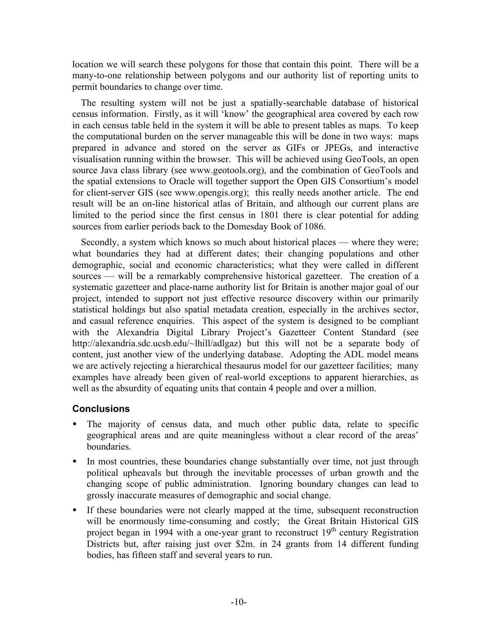location we will search these polygons for those that contain this point. There will be a many-to-one relationship between polygons and our authority list of reporting units to permit boundaries to change over time.

The resulting system will not be just a spatially-searchable database of historical census information. Firstly, as it will 'know' the geographical area covered by each row in each census table held in the system it will be able to present tables as maps. To keep the computational burden on the server manageable this will be done in two ways: maps prepared in advance and stored on the server as GIFs or JPEGs, and interactive visualisation running within the browser. This will be achieved using GeoTools, an open source Java class library (see www.geotools.org), and the combination of GeoTools and the spatial extensions to Oracle will together support the Open GIS Consortium's model for client-server GIS (see www.opengis.org); this really needs another article. The end result will be an on-line historical atlas of Britain, and although our current plans are limited to the period since the first census in 1801 there is clear potential for adding sources from earlier periods back to the Domesday Book of 1086.

Secondly, a system which knows so much about historical places — where they were; what boundaries they had at different dates; their changing populations and other demographic, social and economic characteristics; what they were called in different sources — will be a remarkably comprehensive historical gazetteer. The creation of a systematic gazetteer and place-name authority list for Britain is another major goal of our project, intended to support not just effective resource discovery within our primarily statistical holdings but also spatial metadata creation, especially in the archives sector, and casual reference enquiries. This aspect of the system is designed to be compliant with the Alexandria Digital Library Project's Gazetteer Content Standard (see http://alexandria.sdc.ucsb.edu/~lhill/adlgaz) but this will not be a separate body of content, just another view of the underlying database. Adopting the ADL model means we are actively rejecting a hierarchical thesaurus model for our gazetteer facilities; many examples have already been given of real-world exceptions to apparent hierarchies, as well as the absurdity of equating units that contain 4 people and over a million.

# **Conclusions**

- The majority of census data, and much other public data, relate to specific geographical areas and are quite meaningless without a clear record of the areas' boundaries.
- In most countries, these boundaries change substantially over time, not just through political upheavals but through the inevitable processes of urban growth and the changing scope of public administration. Ignoring boundary changes can lead to grossly inaccurate measures of demographic and social change.
- If these boundaries were not clearly mapped at the time, subsequent reconstruction will be enormously time-consuming and costly; the Great Britain Historical GIS project began in 1994 with a one-year grant to reconstruct  $19<sup>th</sup>$  century Registration Districts but, after raising just over \$2m. in 24 grants from 14 different funding bodies, has fifteen staff and several years to run.